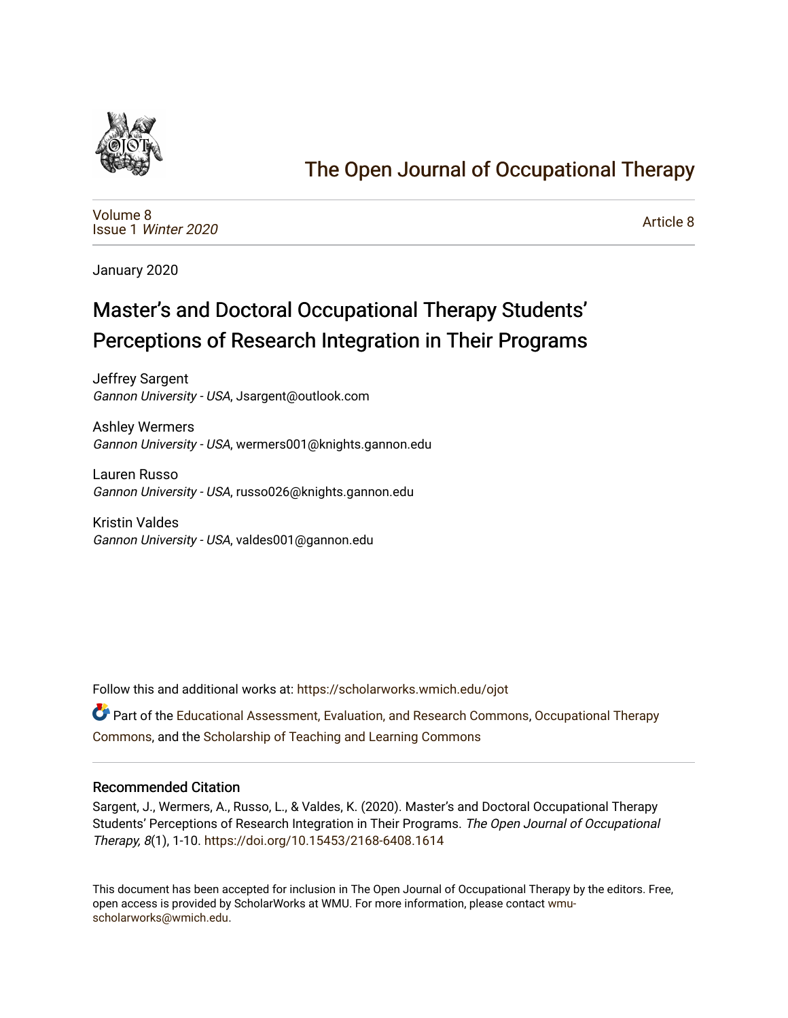

# [The Open Journal of Occupational Therapy](https://scholarworks.wmich.edu/ojot)

[Volume 8](https://scholarworks.wmich.edu/ojot/vol8) Issue 1 [Winter 2020](https://scholarworks.wmich.edu/ojot/vol8/iss1) 

[Article 8](https://scholarworks.wmich.edu/ojot/vol8/iss1/8) 

January 2020

# Master's and Doctoral Occupational Therapy Students' Perceptions of Research Integration in Their Programs

Jeffrey Sargent Gannon University - USA, Jsargent@outlook.com

Ashley Wermers Gannon University - USA, wermers001@knights.gannon.edu

Lauren Russo Gannon University - USA, russo026@knights.gannon.edu

Kristin Valdes Gannon University - USA, valdes001@gannon.edu

Follow this and additional works at: [https://scholarworks.wmich.edu/ojot](https://scholarworks.wmich.edu/ojot?utm_source=scholarworks.wmich.edu%2Fojot%2Fvol8%2Fiss1%2F8&utm_medium=PDF&utm_campaign=PDFCoverPages)

Part of the [Educational Assessment, Evaluation, and Research Commons](http://network.bepress.com/hgg/discipline/796?utm_source=scholarworks.wmich.edu%2Fojot%2Fvol8%2Fiss1%2F8&utm_medium=PDF&utm_campaign=PDFCoverPages), [Occupational Therapy](http://network.bepress.com/hgg/discipline/752?utm_source=scholarworks.wmich.edu%2Fojot%2Fvol8%2Fiss1%2F8&utm_medium=PDF&utm_campaign=PDFCoverPages) [Commons](http://network.bepress.com/hgg/discipline/752?utm_source=scholarworks.wmich.edu%2Fojot%2Fvol8%2Fiss1%2F8&utm_medium=PDF&utm_campaign=PDFCoverPages), and the [Scholarship of Teaching and Learning Commons](http://network.bepress.com/hgg/discipline/1328?utm_source=scholarworks.wmich.edu%2Fojot%2Fvol8%2Fiss1%2F8&utm_medium=PDF&utm_campaign=PDFCoverPages) 

#### Recommended Citation

Sargent, J., Wermers, A., Russo, L., & Valdes, K. (2020). Master's and Doctoral Occupational Therapy Students' Perceptions of Research Integration in Their Programs. The Open Journal of Occupational Therapy, 8(1), 1-10. <https://doi.org/10.15453/2168-6408.1614>

This document has been accepted for inclusion in The Open Journal of Occupational Therapy by the editors. Free, open access is provided by ScholarWorks at WMU. For more information, please contact [wmu](mailto:wmu-scholarworks@wmich.edu)[scholarworks@wmich.edu.](mailto:wmu-scholarworks@wmich.edu)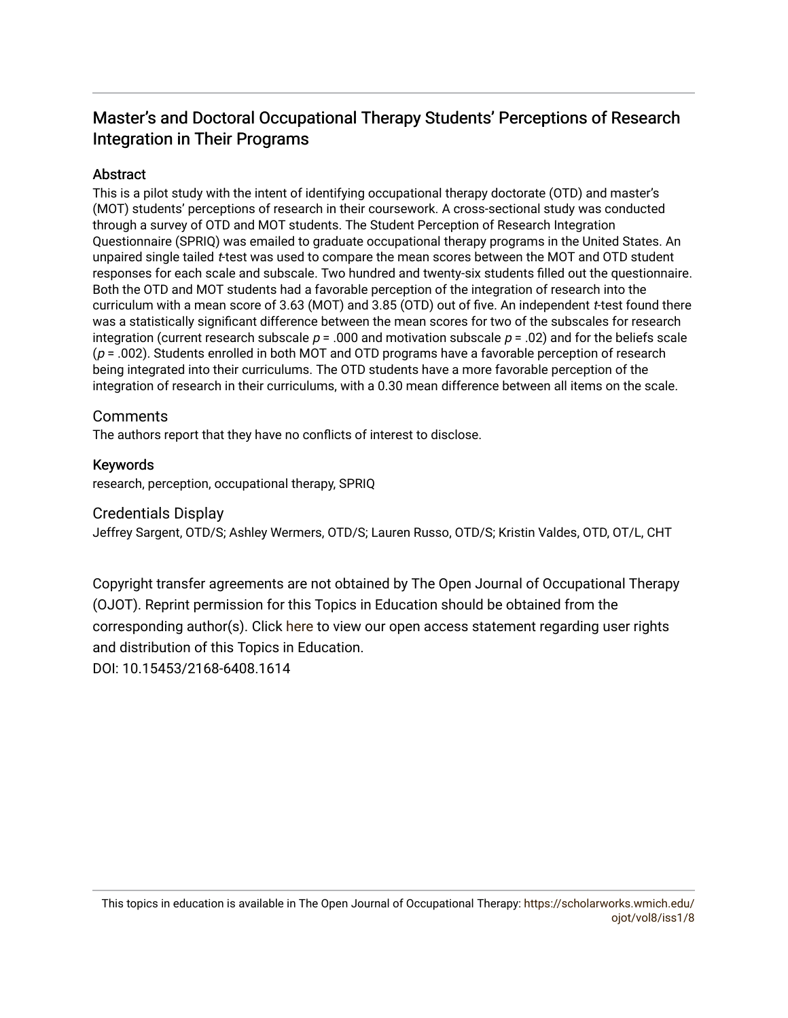# Master's and Doctoral Occupational Therapy Students' Perceptions of Research Integration in Their Programs

# Abstract

This is a pilot study with the intent of identifying occupational therapy doctorate (OTD) and master's (MOT) students' perceptions of research in their coursework. A cross-sectional study was conducted through a survey of OTD and MOT students. The Student Perception of Research Integration Questionnaire (SPRIQ) was emailed to graduate occupational therapy programs in the United States. An unpaired single tailed t-test was used to compare the mean scores between the MOT and OTD student responses for each scale and subscale. Two hundred and twenty-six students filled out the questionnaire. Both the OTD and MOT students had a favorable perception of the integration of research into the curriculum with a mean score of 3.63 (MOT) and 3.85 (OTD) out of five. An independent t-test found there was a statistically significant difference between the mean scores for two of the subscales for research integration (current research subscale  $p = 0.00$  and motivation subscale  $p = 0.02$ ) and for the beliefs scale  $(p = .002)$ . Students enrolled in both MOT and OTD programs have a favorable perception of research being integrated into their curriculums. The OTD students have a more favorable perception of the integration of research in their curriculums, with a 0.30 mean difference between all items on the scale.

# **Comments**

The authors report that they have no conflicts of interest to disclose.

# Keywords

research, perception, occupational therapy, SPRIQ

# Credentials Display

Jeffrey Sargent, OTD/S; Ashley Wermers, OTD/S; Lauren Russo, OTD/S; Kristin Valdes, OTD, OT/L, CHT

Copyright transfer agreements are not obtained by The Open Journal of Occupational Therapy (OJOT). Reprint permission for this Topics in Education should be obtained from the corresponding author(s). Click [here](https://scholarworks.wmich.edu/ojot/policies.html#rights) to view our open access statement regarding user rights and distribution of this Topics in Education.

DOI: 10.15453/2168-6408.1614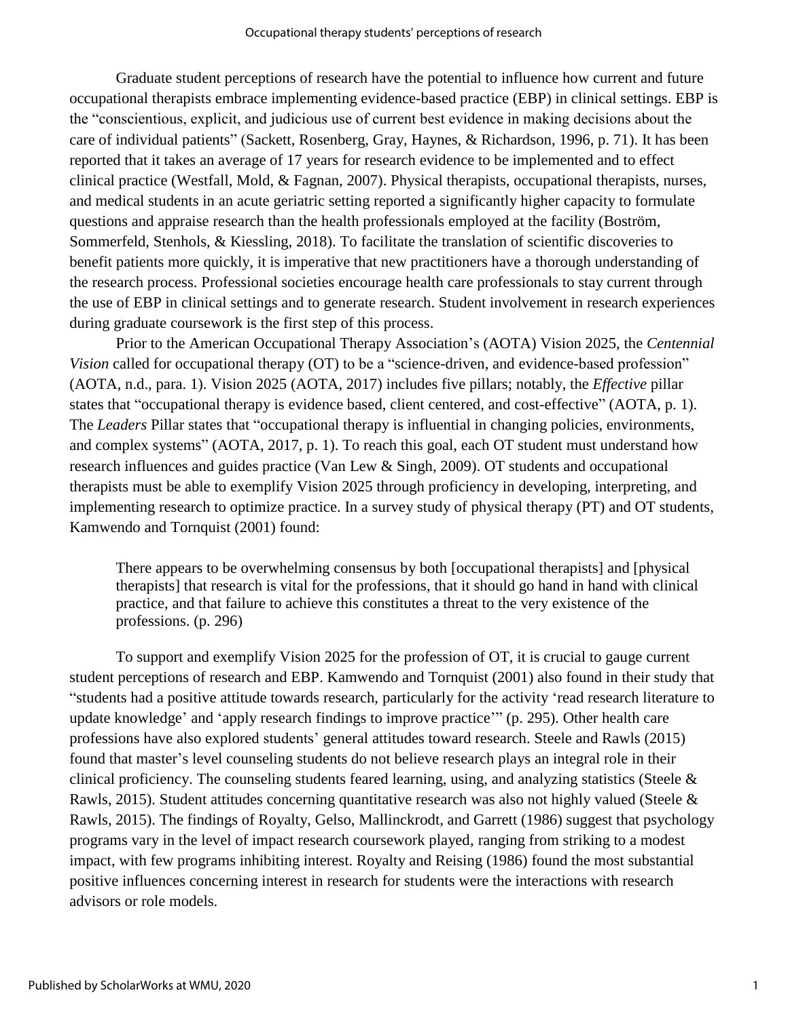Graduate student perceptions of research have the potential to influence how current and future occupational therapists embrace implementing evidence-based practice (EBP) in clinical settings. EBP is the "conscientious, explicit, and judicious use of current best evidence in making decisions about the care of individual patients" (Sackett, Rosenberg, Gray, Haynes, & Richardson, 1996, p. 71). It has been reported that it takes an average of 17 years for research evidence to be implemented and to effect clinical practice (Westfall, Mold, & Fagnan, 2007). Physical therapists, occupational therapists, nurses, and medical students in an acute geriatric setting reported a significantly higher capacity to formulate questions and appraise research than the health professionals employed at the facility (Boström, Sommerfeld, Stenhols, & Kiessling, 2018). To facilitate the translation of scientific discoveries to benefit patients more quickly, it is imperative that new practitioners have a thorough understanding of the research process. Professional societies encourage health care professionals to stay current through the use of EBP in clinical settings and to generate research. Student involvement in research experiences during graduate coursework is the first step of this process.

Prior to the American Occupational Therapy Association's (AOTA) Vision 2025, the *Centennial Vision* called for occupational therapy (OT) to be a "science-driven, and evidence-based profession" (AOTA, n.d., para. 1). Vision 2025 (AOTA, 2017) includes five pillars; notably, the *Effective* pillar states that "occupational therapy is evidence based, client centered, and cost-effective" (AOTA, p. 1). The *Leaders* Pillar states that "occupational therapy is influential in changing policies, environments, and complex systems" (AOTA, 2017, p. 1). To reach this goal, each OT student must understand how research influences and guides practice (Van Lew & Singh, 2009). OT students and occupational therapists must be able to exemplify Vision 2025 through proficiency in developing, interpreting, and implementing research to optimize practice. In a survey study of physical therapy (PT) and OT students, Kamwendo and Tornquist (2001) found:

There appears to be overwhelming consensus by both [occupational therapists] and [physical therapists] that research is vital for the professions, that it should go hand in hand with clinical practice, and that failure to achieve this constitutes a threat to the very existence of the professions. (p. 296)

To support and exemplify Vision 2025 for the profession of OT, it is crucial to gauge current student perceptions of research and EBP. Kamwendo and Tornquist (2001) also found in their study that "students had a positive attitude towards research, particularly for the activity 'read research literature to update knowledge' and 'apply research findings to improve practice'" (p. 295). Other health care professions have also explored students' general attitudes toward research. Steele and Rawls (2015) found that master's level counseling students do not believe research plays an integral role in their clinical proficiency. The counseling students feared learning, using, and analyzing statistics (Steele & Rawls, 2015). Student attitudes concerning quantitative research was also not highly valued (Steele & Rawls, 2015). The findings of Royalty, Gelso, Mallinckrodt, and Garrett (1986) suggest that psychology programs vary in the level of impact research coursework played, ranging from striking to a modest impact, with few programs inhibiting interest. Royalty and Reising (1986) found the most substantial positive influences concerning interest in research for students were the interactions with research advisors or role models.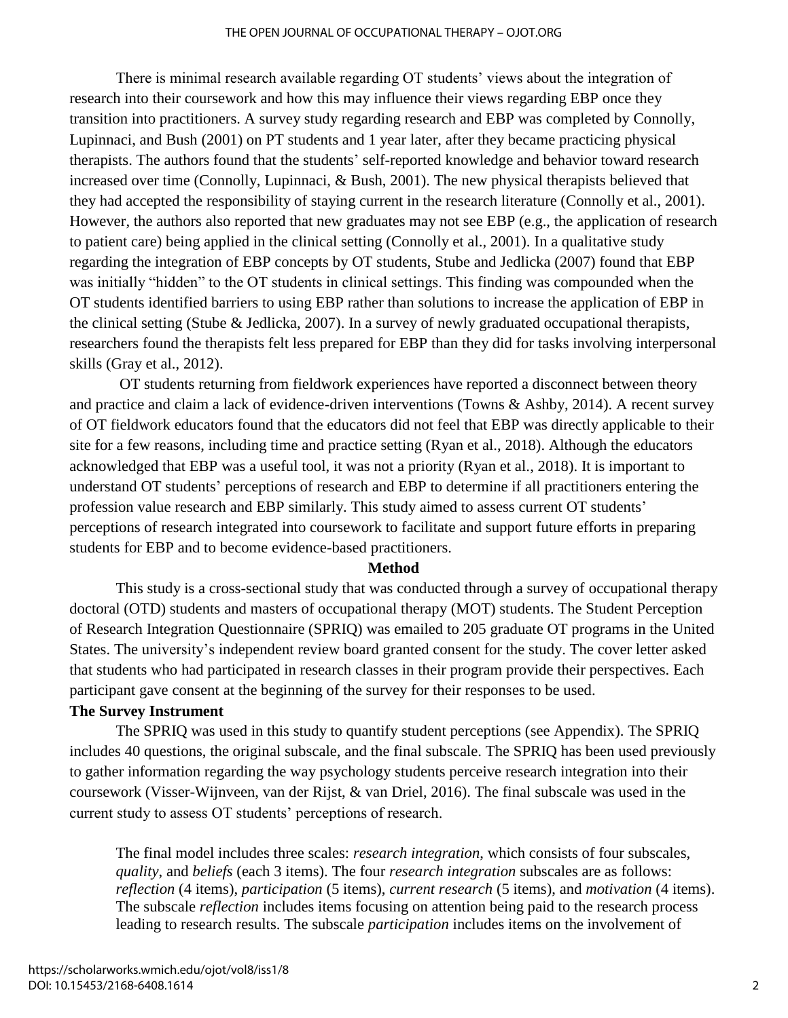There is minimal research available regarding OT students' views about the integration of research into their coursework and how this may influence their views regarding EBP once they transition into practitioners. A survey study regarding research and EBP was completed by Connolly, Lupinnaci, and Bush (2001) on PT students and 1 year later, after they became practicing physical therapists. The authors found that the students' self-reported knowledge and behavior toward research increased over time (Connolly, Lupinnaci, & Bush, 2001). The new physical therapists believed that they had accepted the responsibility of staying current in the research literature (Connolly et al., 2001). However, the authors also reported that new graduates may not see EBP (e.g., the application of research to patient care) being applied in the clinical setting (Connolly et al., 2001). In a qualitative study regarding the integration of EBP concepts by OT students, Stube and Jedlicka (2007) found that EBP was initially "hidden" to the OT students in clinical settings. This finding was compounded when the OT students identified barriers to using EBP rather than solutions to increase the application of EBP in the clinical setting (Stube & Jedlicka, 2007). In a survey of newly graduated occupational therapists, researchers found the therapists felt less prepared for EBP than they did for tasks involving interpersonal skills (Gray et al., 2012).

OT students returning from fieldwork experiences have reported a disconnect between theory and practice and claim a lack of evidence-driven interventions (Towns & Ashby, 2014). A recent survey of OT fieldwork educators found that the educators did not feel that EBP was directly applicable to their site for a few reasons, including time and practice setting (Ryan et al., 2018). Although the educators acknowledged that EBP was a useful tool, it was not a priority (Ryan et al., 2018). It is important to understand OT students' perceptions of research and EBP to determine if all practitioners entering the profession value research and EBP similarly. This study aimed to assess current OT students' perceptions of research integrated into coursework to facilitate and support future efforts in preparing students for EBP and to become evidence-based practitioners.

#### **Method**

This study is a cross-sectional study that was conducted through a survey of occupational therapy doctoral (OTD) students and masters of occupational therapy (MOT) students. The Student Perception of Research Integration Questionnaire (SPRIQ) was emailed to 205 graduate OT programs in the United States. The university's independent review board granted consent for the study. The cover letter asked that students who had participated in research classes in their program provide their perspectives. Each participant gave consent at the beginning of the survey for their responses to be used.

### **The Survey Instrument**

 The SPRIQ was used in this study to quantify student perceptions (see Appendix). The SPRIQ includes 40 questions, the original subscale, and the final subscale. The SPRIQ has been used previously to gather information regarding the way psychology students perceive research integration into their coursework (Visser-Wijnveen, van der Rijst, & van Driel, 2016). The final subscale was used in the current study to assess OT students' perceptions of research.

The final model includes three scales: *research integration*, which consists of four subscales, *quality*, and *beliefs* (each 3 items). The four *research integration* subscales are as follows: *reflection* (4 items), *participation* (5 items), *current research* (5 items), and *motivation* (4 items). The subscale *reflection* includes items focusing on attention being paid to the research process leading to research results. The subscale *participation* includes items on the involvement of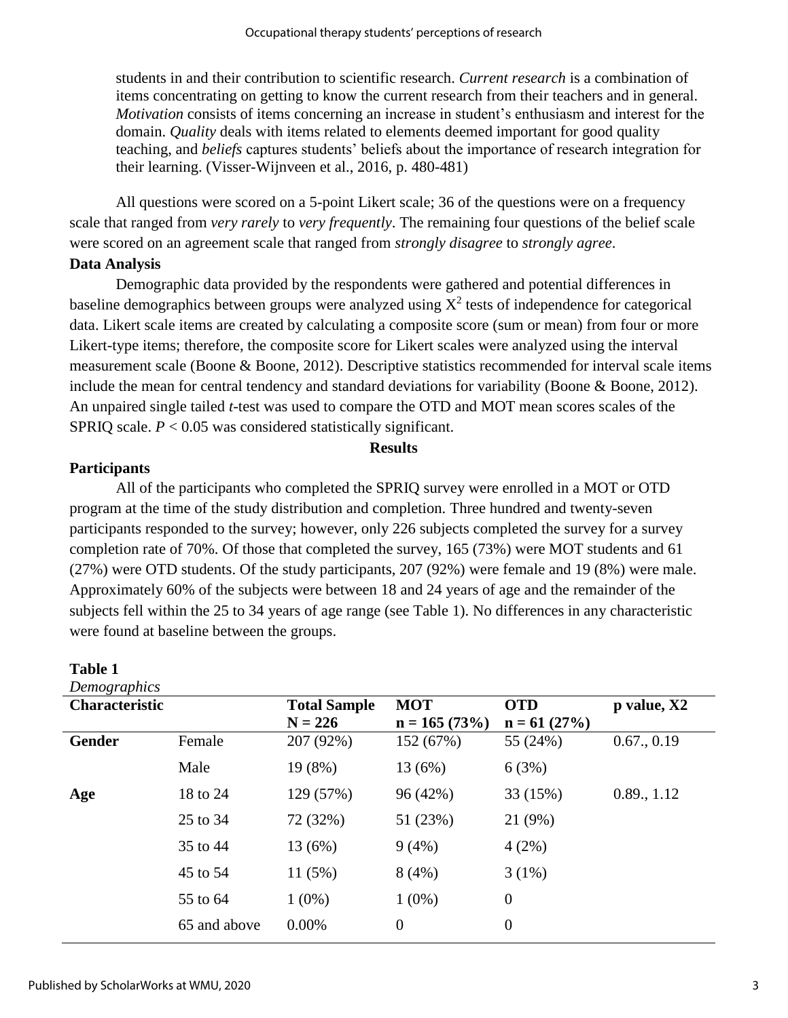students in and their contribution to scientific research. *Current research* is a combination of items concentrating on getting to know the current research from their teachers and in general. *Motivation* consists of items concerning an increase in student's enthusiasm and interest for the domain. *Quality* deals with items related to elements deemed important for good quality teaching, and *beliefs* captures students' beliefs about the importance of research integration for their learning. (Visser-Wijnveen et al., 2016, p. 480-481)

All questions were scored on a 5-point Likert scale; 36 of the questions were on a frequency scale that ranged from *very rarely* to *very frequently*. The remaining four questions of the belief scale were scored on an agreement scale that ranged from *strongly disagree* to *strongly agree*.

# **Data Analysis**

Demographic data provided by the respondents were gathered and potential differences in baseline demographics between groups were analyzed using  $X^2$  tests of independence for categorical data. Likert scale items are created by calculating a composite score (sum or mean) from four or more Likert-type items; therefore, the composite score for Likert scales were analyzed using the interval measurement scale (Boone & Boone, 2012). Descriptive statistics recommended for interval scale items include the mean for central tendency and standard deviations for variability (Boone & Boone, 2012). An unpaired single tailed *t*-test was used to compare the OTD and MOT mean scores scales of the SPRIQ scale. *P* < 0.05 was considered statistically significant.

#### **Results**

# **Participants**

All of the participants who completed the SPRIQ survey were enrolled in a MOT or OTD program at the time of the study distribution and completion. Three hundred and twenty-seven participants responded to the survey; however, only 226 subjects completed the survey for a survey completion rate of 70%. Of those that completed the survey, 165 (73%) were MOT students and 61 (27%) were OTD students. Of the study participants, 207 (92%) were female and 19 (8%) were male. Approximately 60% of the subjects were between 18 and 24 years of age and the remainder of the subjects fell within the 25 to 34 years of age range (see Table 1). No differences in any characteristic were found at baseline between the groups.

| Demographics          |              |                     |                  |                |             |
|-----------------------|--------------|---------------------|------------------|----------------|-------------|
| <b>Characteristic</b> |              | <b>Total Sample</b> | <b>MOT</b>       | <b>OTD</b>     | p value, X2 |
|                       |              | $N = 226$           | $n = 165(73%)$   | $n = 61 (27%)$ |             |
| <b>Gender</b>         | Female       | 207 (92%)           | 152 (67%)        | 55 (24%)       | 0.67., 0.19 |
|                       | Male         | 19(8%)              | 13 (6%)          | 6(3%)          |             |
| Age                   | 18 to 24     | 129 (57%)           | 96 (42%)         | 33 (15%)       | 0.89, 1.12  |
|                       | 25 to 34     | 72 (32%)            | 51 (23%)         | 21 (9%)        |             |
|                       | 35 to 44     | 13 (6%)             | 9(4%)            | 4(2%)          |             |
|                       | 45 to 54     | 11(5%)              | 8(4%)            | $3(1\%)$       |             |
|                       | 55 to 64     | $1(0\%)$            | $1(0\%)$         | $\theta$       |             |
|                       | 65 and above | 0.00%               | $\boldsymbol{0}$ | $\overline{0}$ |             |

# **Table 1**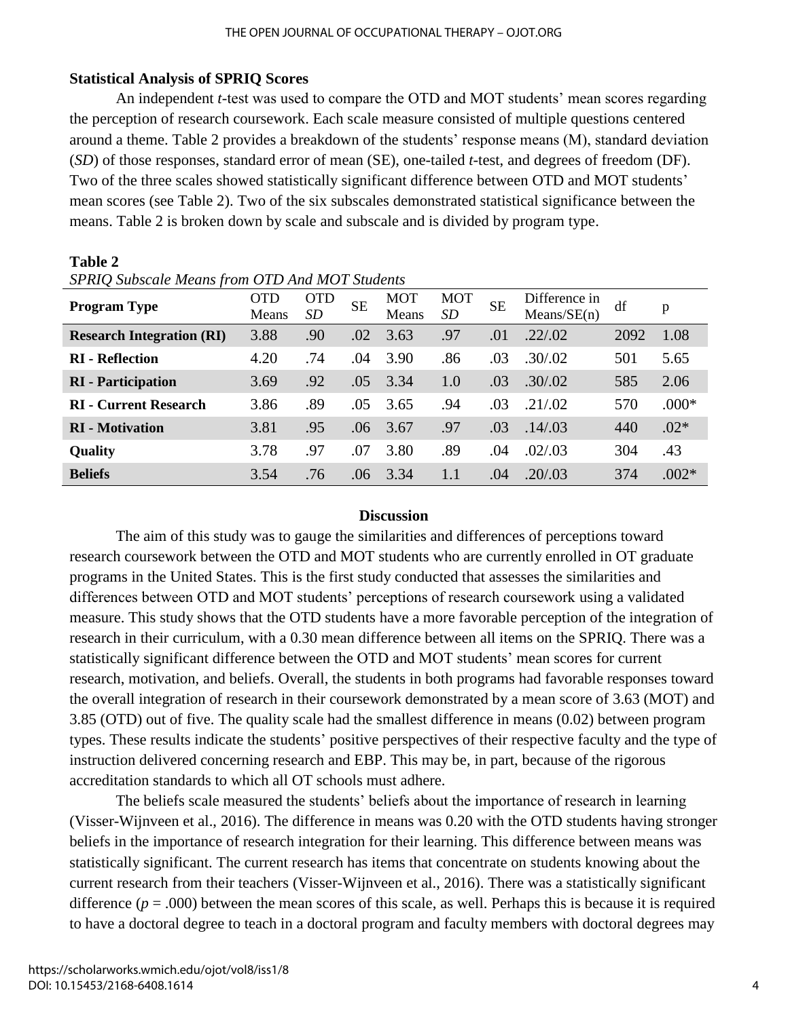# **Statistical Analysis of SPRIQ Scores**

**Table 2**

An independent *t*-test was used to compare the OTD and MOT students' mean scores regarding the perception of research coursework. Each scale measure consisted of multiple questions centered around a theme. Table 2 provides a breakdown of the students' response means (M), standard deviation (*SD*) of those responses, standard error of mean (SE), one-tailed *t*-test, and degrees of freedom (DF). Two of the three scales showed statistically significant difference between OTD and MOT students' mean scores (see Table 2). Two of the six subscales demonstrated statistical significance between the means. Table 2 is broken down by scale and subscale and is divided by program type.

| 51 Kry Subscute means from OTD And MOT Students |              |                  |           |                     |                  |           |                              |      |         |
|-------------------------------------------------|--------------|------------------|-----------|---------------------|------------------|-----------|------------------------------|------|---------|
| <b>Program Type</b>                             | OTD<br>Means | <b>OTD</b><br>SD | <b>SE</b> | <b>MOT</b><br>Means | <b>MOT</b><br>SD | <b>SE</b> | Difference in<br>Means/SE(n) | df   | p       |
| <b>Research Integration (RI)</b>                | 3.88         | .90              | .02       | 3.63                | .97              | .01       | .22/.02                      | 2092 | 1.08    |
| <b>RI</b> - Reflection                          | 4.20         | .74              | .04       | 3.90                | .86              | .03       | .30/02                       | 501  | 5.65    |
| <b>RI</b> - Participation                       | 3.69         | .92              | .05       | 3.34                | 1.0              | .03       | .30/02                       | 585  | 2.06    |
| <b>RI</b> - Current Research                    | 3.86         | .89              | .05       | 3.65                | .94              | .03       | .21/02                       | 570  | $.000*$ |
| <b>RI</b> - Motivation                          | 3.81         | .95              | .06       | 3.67                | .97              | .03       | .14/03                       | 440  | $.02*$  |
| Quality                                         | 3.78         | .97              | .07       | 3.80                | .89              | .04       | .02/.03                      | 304  | .43     |
| <b>Beliefs</b>                                  | 3.54         | .76              | .06       | 3.34                | 1.1              | .04       | .20/03                       | 374  | $.002*$ |

*SPRIQ Subscale Means from OTD And MOT Students*

# **Discussion**

The aim of this study was to gauge the similarities and differences of perceptions toward research coursework between the OTD and MOT students who are currently enrolled in OT graduate programs in the United States. This is the first study conducted that assesses the similarities and differences between OTD and MOT students' perceptions of research coursework using a validated measure. This study shows that the OTD students have a more favorable perception of the integration of research in their curriculum, with a 0.30 mean difference between all items on the SPRIQ. There was a statistically significant difference between the OTD and MOT students' mean scores for current research, motivation, and beliefs. Overall, the students in both programs had favorable responses toward the overall integration of research in their coursework demonstrated by a mean score of 3.63 (MOT) and 3.85 (OTD) out of five. The quality scale had the smallest difference in means (0.02) between program types. These results indicate the students' positive perspectives of their respective faculty and the type of instruction delivered concerning research and EBP. This may be, in part, because of the rigorous accreditation standards to which all OT schools must adhere.

The beliefs scale measured the students' beliefs about the importance of research in learning (Visser-Wijnveen et al., 2016). The difference in means was 0.20 with the OTD students having stronger beliefs in the importance of research integration for their learning. This difference between means was statistically significant. The current research has items that concentrate on students knowing about the current research from their teachers (Visser-Wijnveen et al., 2016). There was a statistically significant difference  $(p = .000)$  between the mean scores of this scale, as well. Perhaps this is because it is required to have a doctoral degree to teach in a doctoral program and faculty members with doctoral degrees may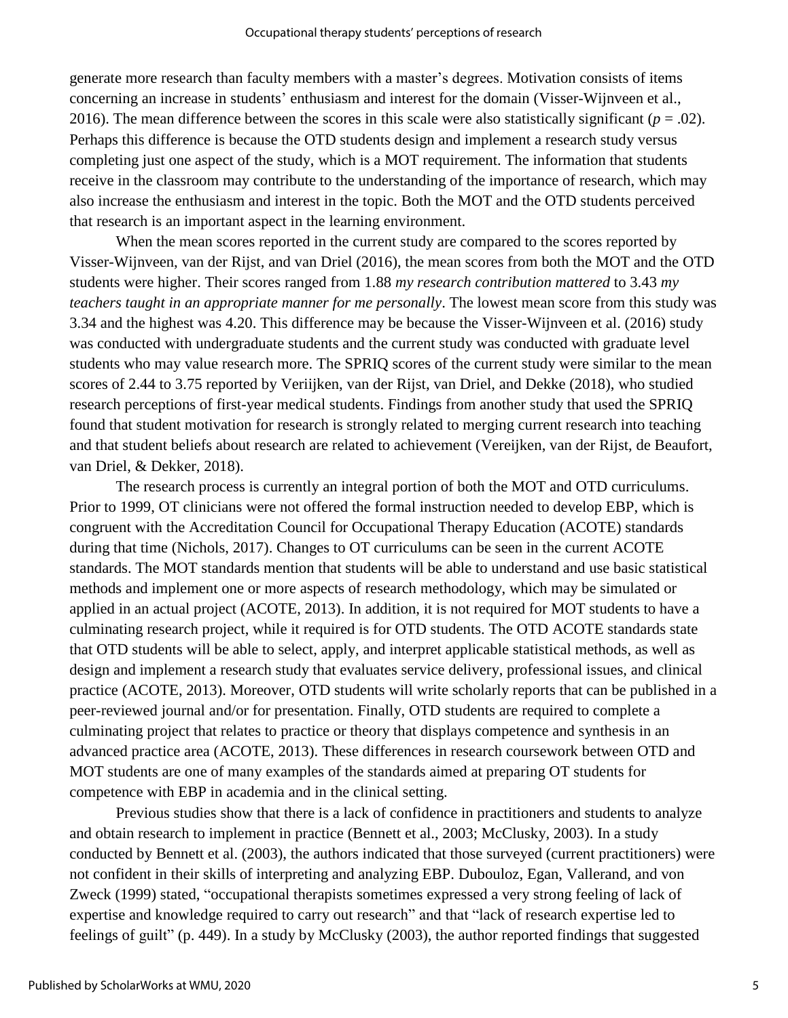generate more research than faculty members with a master's degrees. Motivation consists of items concerning an increase in students' enthusiasm and interest for the domain (Visser-Wijnveen et al., 2016). The mean difference between the scores in this scale were also statistically significant ( $p = .02$ ). Perhaps this difference is because the OTD students design and implement a research study versus completing just one aspect of the study, which is a MOT requirement. The information that students receive in the classroom may contribute to the understanding of the importance of research, which may also increase the enthusiasm and interest in the topic. Both the MOT and the OTD students perceived that research is an important aspect in the learning environment.

When the mean scores reported in the current study are compared to the scores reported by Visser-Wijnveen, van der Rijst, and van Driel (2016), the mean scores from both the MOT and the OTD students were higher. Their scores ranged from 1.88 *my research contribution mattered* to 3.43 *my teachers taught in an appropriate manner for me personally*. The lowest mean score from this study was 3.34 and the highest was 4.20. This difference may be because the Visser-Wijnveen et al. (2016) study was conducted with undergraduate students and the current study was conducted with graduate level students who may value research more. The SPRIQ scores of the current study were similar to the mean scores of 2.44 to 3.75 reported by Veriijken, van der Rijst, van Driel, and Dekke (2018), who studied research perceptions of first-year medical students. Findings from another study that used the SPRIQ found that student motivation for research is strongly related to merging current research into teaching and that student beliefs about research are related to achievement (Vereijken, van der Rijst, de Beaufort, van Driel, & Dekker, 2018).

The research process is currently an integral portion of both the MOT and OTD curriculums. Prior to 1999, OT clinicians were not offered the formal instruction needed to develop EBP, which is congruent with the Accreditation Council for Occupational Therapy Education (ACOTE) standards during that time (Nichols, 2017). Changes to OT curriculums can be seen in the current ACOTE standards. The MOT standards mention that students will be able to understand and use basic statistical methods and implement one or more aspects of research methodology, which may be simulated or applied in an actual project (ACOTE, 2013). In addition, it is not required for MOT students to have a culminating research project, while it required is for OTD students. The OTD ACOTE standards state that OTD students will be able to select, apply, and interpret applicable statistical methods, as well as design and implement a research study that evaluates service delivery, professional issues, and clinical practice (ACOTE, 2013). Moreover, OTD students will write scholarly reports that can be published in a peer-reviewed journal and/or for presentation. Finally, OTD students are required to complete a culminating project that relates to practice or theory that displays competence and synthesis in an advanced practice area (ACOTE, 2013). These differences in research coursework between OTD and MOT students are one of many examples of the standards aimed at preparing OT students for competence with EBP in academia and in the clinical setting.

Previous studies show that there is a lack of confidence in practitioners and students to analyze and obtain research to implement in practice (Bennett et al., 2003; McClusky, 2003). In a study conducted by Bennett et al. (2003), the authors indicated that those surveyed (current practitioners) were not confident in their skills of interpreting and analyzing EBP. Dubouloz, Egan, Vallerand, and von Zweck (1999) stated, "occupational therapists sometimes expressed a very strong feeling of lack of expertise and knowledge required to carry out research" and that "lack of research expertise led to feelings of guilt" (p. 449). In a study by McClusky (2003), the author reported findings that suggested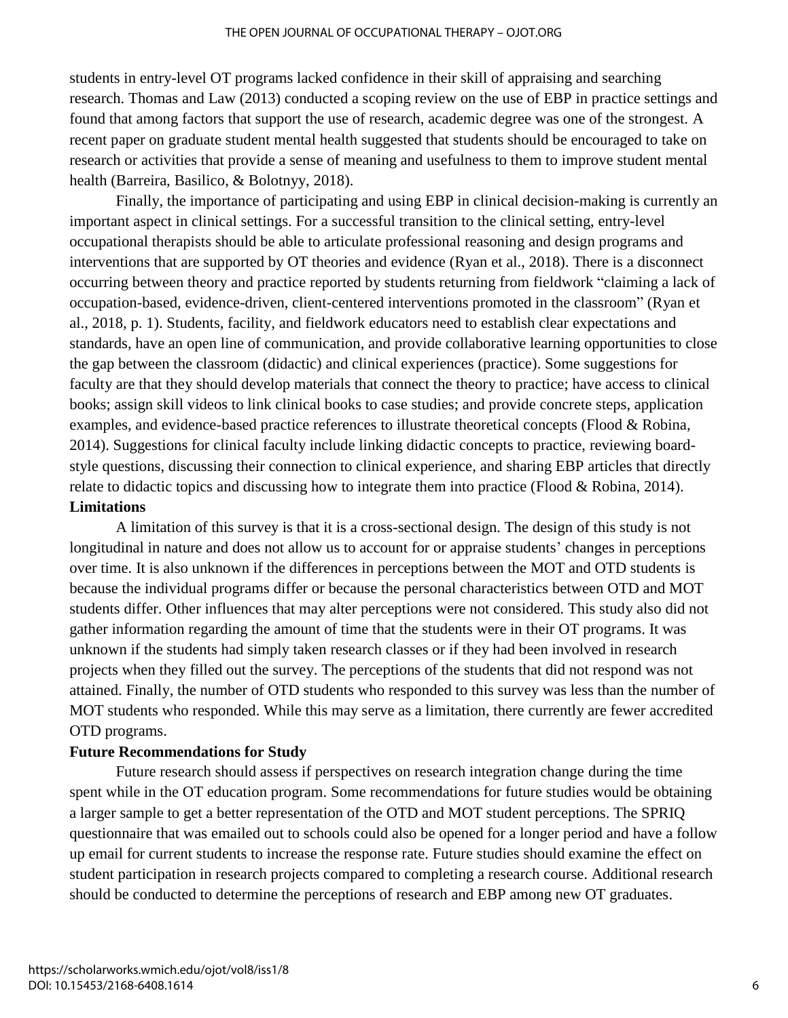students in entry-level OT programs lacked confidence in their skill of appraising and searching research. Thomas and Law (2013) conducted a scoping review on the use of EBP in practice settings and found that among factors that support the use of research, academic degree was one of the strongest. A recent paper on graduate student mental health suggested that students should be encouraged to take on research or activities that provide a sense of meaning and usefulness to them to improve student mental health (Barreira, Basilico, & Bolotnyy, 2018).

Finally, the importance of participating and using EBP in clinical decision-making is currently an important aspect in clinical settings. For a successful transition to the clinical setting, entry-level occupational therapists should be able to articulate professional reasoning and design programs and interventions that are supported by OT theories and evidence (Ryan et al., 2018). There is a disconnect occurring between theory and practice reported by students returning from fieldwork "claiming a lack of occupation-based, evidence-driven, client-centered interventions promoted in the classroom" (Ryan et al., 2018, p. 1). Students, facility, and fieldwork educators need to establish clear expectations and standards, have an open line of communication, and provide collaborative learning opportunities to close the gap between the classroom (didactic) and clinical experiences (practice). Some suggestions for faculty are that they should develop materials that connect the theory to practice; have access to clinical books; assign skill videos to link clinical books to case studies; and provide concrete steps, application examples, and evidence-based practice references to illustrate theoretical concepts (Flood & Robina, 2014). Suggestions for clinical faculty include linking didactic concepts to practice, reviewing boardstyle questions, discussing their connection to clinical experience, and sharing EBP articles that directly relate to didactic topics and discussing how to integrate them into practice (Flood & Robina, 2014). **Limitations**

A limitation of this survey is that it is a cross-sectional design. The design of this study is not longitudinal in nature and does not allow us to account for or appraise students' changes in perceptions over time. It is also unknown if the differences in perceptions between the MOT and OTD students is because the individual programs differ or because the personal characteristics between OTD and MOT students differ. Other influences that may alter perceptions were not considered. This study also did not gather information regarding the amount of time that the students were in their OT programs. It was unknown if the students had simply taken research classes or if they had been involved in research projects when they filled out the survey. The perceptions of the students that did not respond was not attained. Finally, the number of OTD students who responded to this survey was less than the number of MOT students who responded. While this may serve as a limitation, there currently are fewer accredited OTD programs.

# **Future Recommendations for Study**

Future research should assess if perspectives on research integration change during the time spent while in the OT education program. Some recommendations for future studies would be obtaining a larger sample to get a better representation of the OTD and MOT student perceptions. The SPRIQ questionnaire that was emailed out to schools could also be opened for a longer period and have a follow up email for current students to increase the response rate. Future studies should examine the effect on student participation in research projects compared to completing a research course. Additional research should be conducted to determine the perceptions of research and EBP among new OT graduates.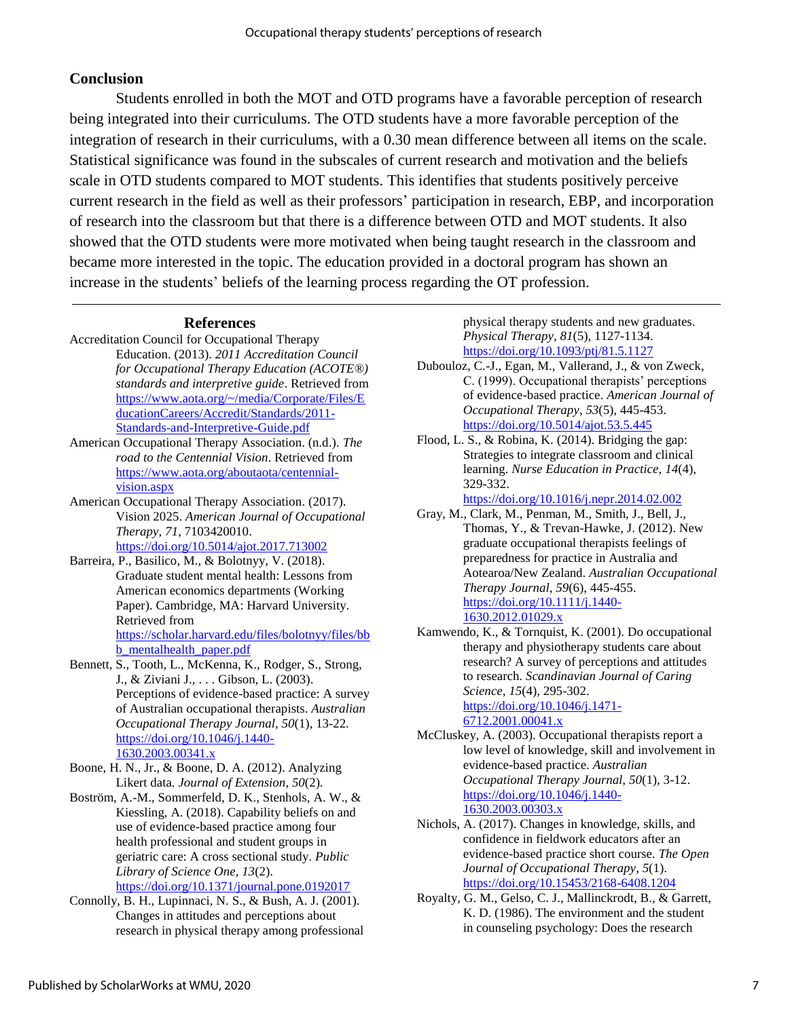# **Conclusion**

Students enrolled in both the MOT and OTD programs have a favorable perception of research being integrated into their curriculums. The OTD students have a more favorable perception of the integration of research in their curriculums, with a 0.30 mean difference between all items on the scale. Statistical significance was found in the subscales of current research and motivation and the beliefs scale in OTD students compared to MOT students. This identifies that students positively perceive current research in the field as well as their professors' participation in research, EBP, and incorporation of research into the classroom but that there is a difference between OTD and MOT students. It also showed that the OTD students were more motivated when being taught research in the classroom and became more interested in the topic. The education provided in a doctoral program has shown an increase in the students' beliefs of the learning process regarding the OT profession.

#### **References**

- Accreditation Council for Occupational Therapy Education. (2013). *2011 Accreditation Council for Occupational Therapy Education (ACOTE®) standards and interpretive guide*. Retrieved from [https://www.aota.org/~/media/Corporate/Files/E](https://www.aota.org/~/media/Corporate/Files/EducationCareers/Accredit/Standards/2011-Standards-and-Interpretive-Guide.pdf) [ducationCareers/Accredit/Standards/2011-](https://www.aota.org/~/media/Corporate/Files/EducationCareers/Accredit/Standards/2011-Standards-and-Interpretive-Guide.pdf) [Standards-and-Interpretive-Guide.pdf](https://www.aota.org/~/media/Corporate/Files/EducationCareers/Accredit/Standards/2011-Standards-and-Interpretive-Guide.pdf)
- American Occupational Therapy Association. (n.d.). *The road to the Centennial Vision*. Retrieved from [https://www.aota.org/aboutaota/centennial](https://www.aota.org/aboutaota/centennial-vision.aspx)[vision.aspx](https://www.aota.org/aboutaota/centennial-vision.aspx)
- American Occupational Therapy Association. (2017). Vision 2025. *American Journal of Occupational Therapy*, *71*, 7103420010. <https://doi.org/10.5014/ajot.2017.713002>
- Barreira, P., Basilico, M., & Bolotnyy, V. (2018). Graduate student mental health: Lessons from American economics departments (Working Paper). Cambridge, MA: Harvard University. Retrieved from [https://scholar.harvard.edu/files/bolotnyy/files/bb](https://scholar.harvard.edu/files/bolotnyy/files/bbb_mentalhealth_paper.pdf) [b\\_mentalhealth\\_paper.pdf](https://scholar.harvard.edu/files/bolotnyy/files/bbb_mentalhealth_paper.pdf)
- Bennett, S., Tooth, L., McKenna, K., Rodger, S., Strong, J., & Ziviani J., . . . Gibson, L. (2003). Perceptions of evidence-based practice: A survey of Australian occupational therapists. *Australian Occupational Therapy Journal*, *50*(1), 13-22*.* [https://doi.org/10.1046/j.1440-](https://doi.org/10.1046/j.1440-1630.2003.00341.x) [1630.2003.00341.x](https://doi.org/10.1046/j.1440-1630.2003.00341.x)
- Boone, H. N., Jr., & Boone, D. A. (2012). Analyzing Likert data. *Journal of Extension*, *50*(2).
- Boström, A.-M., Sommerfeld, D. K., Stenhols, A. W., & Kiessling, A. (2018). Capability beliefs on and use of evidence-based practice among four health professional and student groups in geriatric care: A cross sectional study. *Public Library of Science One*, *13*(2).

<https://doi.org/10.1371/journal.pone.0192017>

Connolly, B. H., Lupinnaci, N. S., & Bush, A. J. (2001). Changes in attitudes and perceptions about research in physical therapy among professional physical therapy students and new graduates. *Physical Therapy*, *81*(5), 1127-1134. <https://doi.org/10.1093/ptj/81.5.1127>

- Dubouloz, C.-J., Egan, M., Vallerand, J., & von Zweck, C. (1999). Occupational therapists' perceptions of evidence-based practice. *American Journal of Occupational Therapy*, *53*(5), 445-453. <https://doi.org/10.5014/ajot.53.5.445>
- Flood, L. S., & Robina, K. (2014). Bridging the gap: Strategies to integrate classroom and clinical learning. *Nurse Education in Practice*, *14*(4), 329-332.

<https://doi.org/10.1016/j.nepr.2014.02.002>

- Gray, M., Clark, M., Penman, M., Smith, J., Bell, J., Thomas, Y., & Trevan-Hawke, J. (2012). New graduate occupational therapists feelings of preparedness for practice in Australia and Aotearoa/New Zealand. *Australian Occupational Therapy Journal*, *59*(6), 445-455. [https://doi.org/10.1111/j.1440-](https://doi.org/10.1111/j.1440-1630.2012.01029.x) [1630.2012.01029.x](https://doi.org/10.1111/j.1440-1630.2012.01029.x)
- Kamwendo, K., & Tornquist, K. (2001). Do occupational therapy and physiotherapy students care about research? A survey of perceptions and attitudes to research. *Scandinavian Journal of Caring Science*, *15*(4), 295-302.

[https://doi.org/10.1046/j.1471-](https://doi.org/10.1046/j.1471-6712.2001.00041.x)  $6712.2001.00041.x$ 

- McCluskey, A. (2003). Occupational therapists report a low level of knowledge, skill and involvement in evidence-based practice. *Australian Occupational Therapy Journal*, *50*(1), 3-12. [https://doi.org/10.1046/j.1440-](https://doi.org/10.1046/j.1440-1630.2003.00303.x) [1630.2003.00303.x](https://doi.org/10.1046/j.1440-1630.2003.00303.x)
- Nichols, A. (2017). Changes in knowledge, skills, and confidence in fieldwork educators after an evidence-based practice short course. *The Open Journal of Occupational Therapy*, *5*(1). <https://doi.org/10.15453/2168-6408.1204>
- Royalty, G. M., Gelso, C. J., Mallinckrodt, B., & Garrett, K. D. (1986). The environment and the student in counseling psychology: Does the research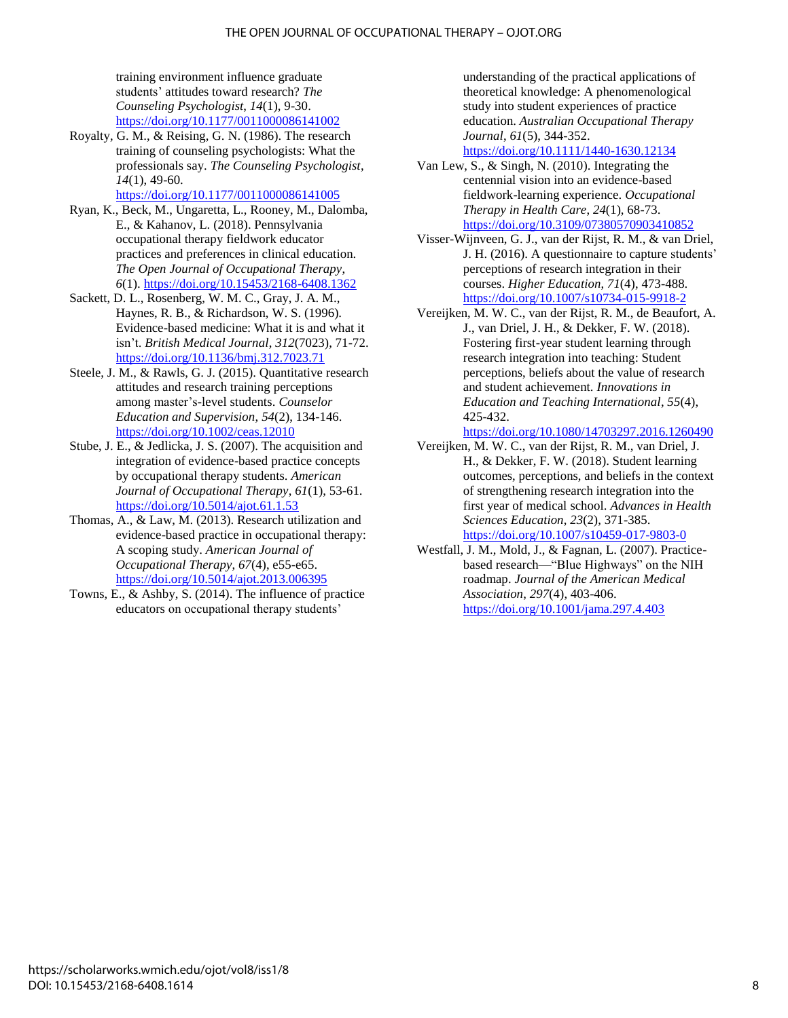training environment influence graduate students' attitudes toward research? *The Counseling Psychologist*, *14*(1), 9-30. <https://doi.org/10.1177/0011000086141002>

Royalty, G. M., & Reising, G. N. (1986). The research training of counseling psychologists: What the professionals say. *The Counseling Psychologist*, *14*(1), 49-60.

<https://doi.org/10.1177/0011000086141005>

- Ryan, K., Beck, M., Ungaretta, L., Rooney, M., Dalomba, E., & Kahanov, L. (2018). Pennsylvania occupational therapy fieldwork educator practices and preferences in clinical education. *The Open Journal of Occupational Therapy*, *6*(1)[. https://doi.org/10.15453/2168-6408.1362](https://doi.org/10.15453/2168-6408.1362)
- Sackett, D. L., Rosenberg, W. M. C., Gray, J. A. M., Haynes, R. B., & Richardson, W. S. (1996). Evidence-based medicine: What it is and what it isn't. *British Medical Journal*, *312*(7023), 71-72. <https://doi.org/10.1136/bmj.312.7023.71>
- Steele, J. M., & Rawls, G. J. (2015). Quantitative research attitudes and research training perceptions among master's-level students. *Counselor Education and Supervision*, *54*(2), 134-146. <https://doi.org/10.1002/ceas.12010>
- Stube, J. E., & Jedlicka, J. S. (2007). The acquisition and integration of evidence-based practice concepts by occupational therapy students. *American Journal of Occupational Therapy*, *61*(1), 53-61. <https://doi.org/10.5014/ajot.61.1.53>
- Thomas, A., & Law, M. (2013). Research utilization and evidence-based practice in occupational therapy: A scoping study. *American Journal of Occupational Therapy*, *67*(4), e55-e65. <https://doi.org/10.5014/ajot.2013.006395>
- Towns, E., & Ashby, S. (2014). The influence of practice educators on occupational therapy students'

understanding of the practical applications of theoretical knowledge: A phenomenological study into student experiences of practice education. *Australian Occupational Therapy Journal*, *61*(5), 344-352.

<https://doi.org/10.1111/1440-1630.12134>

- Van Lew, S., & Singh, N. (2010). Integrating the centennial vision into an evidence-based fieldwork-learning experience. *Occupational Therapy in Health Care*, *24*(1), 68-73. <https://doi.org/10.3109/07380570903410852>
- Visser-Wijnveen, G. J., van der Rijst, R. M., & van Driel, J. H. (2016). A questionnaire to capture students' perceptions of research integration in their courses. *Higher Education*, *71*(4), 473-488. <https://doi.org/10.1007/s10734-015-9918-2>
- Vereijken, M. W. C., van der Rijst, R. M., de Beaufort, A. J., van Driel, J. H., & Dekker, F. W. (2018). Fostering first-year student learning through research integration into teaching: Student perceptions, beliefs about the value of research and student achievement. *Innovations in Education and Teaching International*, *55*(4), 425-432.

<https://doi.org/10.1080/14703297.2016.1260490>

- Vereijken, M. W. C., van der Rijst, R. M., van Driel, J. H., & Dekker, F. W. (2018). Student learning outcomes, perceptions, and beliefs in the context of strengthening research integration into the first year of medical school. *Advances in Health Sciences Education*, *23*(2), 371-385. <https://doi.org/10.1007/s10459-017-9803-0>
- Westfall, J. M., Mold, J., & Fagnan, L. (2007). Practicebased research—"Blue Highways" on the NIH roadmap. *Journal of the American Medical Association*, *297*(4), 403-406. <https://doi.org/10.1001/jama.297.4.403>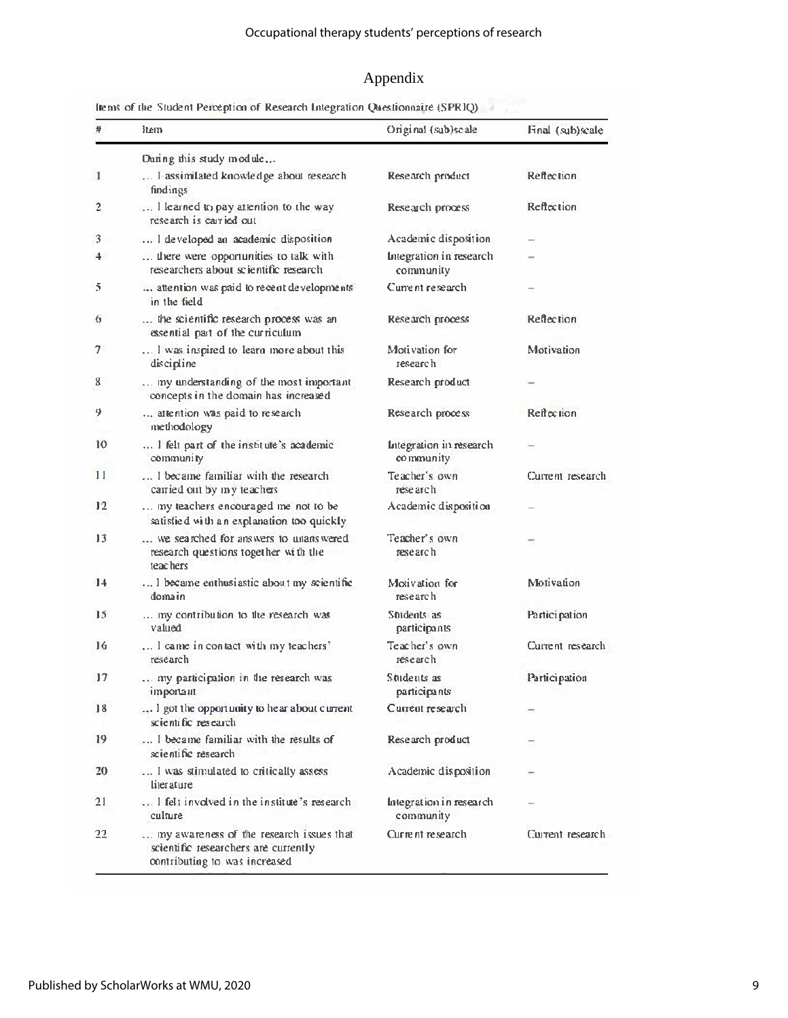# Appendix

| #   | item.                                                                                                             | Original (sub)scale                  | Final (sub)scale  |  |
|-----|-------------------------------------------------------------------------------------------------------------------|--------------------------------------|-------------------|--|
|     | During this study module                                                                                          |                                      |                   |  |
| 1   | I assimilated knowledge about research<br>findings                                                                | Research product                     | Reflection        |  |
| 2   | I learned to pay attention to the way<br>research is carried out                                                  | Research process                     | Reflection        |  |
| 3   | I developed an academic disposition                                                                               | Academic disposition                 |                   |  |
| 4   | there were opportunities to talk with<br>researchers about scientific research.                                   | Integration in research<br>community |                   |  |
| 5   | attention was paid to recent developments.<br>in the field                                                        | Current research                     |                   |  |
| 6   | the scientific research process was an<br>essential part of the curriculum                                        | Research process                     | Reflection        |  |
| 7.  | I was inspired to learn more about this<br>discipline                                                             | Motivation for<br>research           | Motivation        |  |
| 8   | my understanding of the most important<br>concepts in the domain has increased                                    | Research product                     |                   |  |
| 9.  | attention was paid to research<br>methodology                                                                     | Research process                     |                   |  |
| 10  | I felt part of the institute's academic<br>community                                                              | Integration in research<br>community |                   |  |
| 11  | I became familiar with the research<br>carried out by my teachers                                                 | Teacher's own<br>rese arch           | Current research  |  |
| 12  | my teachers encouraged me not to be<br>satisfied with an explanation too quickly                                  | Academic disposition                 |                   |  |
| 13  | we searched for answers to unanswered<br>research questions together with the<br>teachers                         | Teacher's own<br>research            |                   |  |
| 14  | I became enthusiastic about my scientific<br>domain                                                               | Motivation for<br>rese arch          | <b>Motivation</b> |  |
| 15  | my contribution to the research was<br>valued                                                                     | Students as<br>participants          | Participation     |  |
| 16  | I came in contact with my teachers'<br>research                                                                   | Teacher's own<br>research            |                   |  |
| 17  | my participation in the research was<br>important                                                                 | Students as<br>participants          | Participation     |  |
| 18  | I got the opportunity to hear about current<br>scientific research                                                | Current research                     |                   |  |
| 19  | I became familiar with the results of<br>scientific research                                                      | Research product                     |                   |  |
| 20  | I was stimulated to critically assess<br>literature.                                                              | Academic disposition                 |                   |  |
| 21  | I felt involved in the institute's research<br>culture                                                            | Integration in research<br>community |                   |  |
| 22. | my awareness of the research issues that<br>scientific researchers are currently<br>contributing to was increased | Current research                     | Current research  |  |